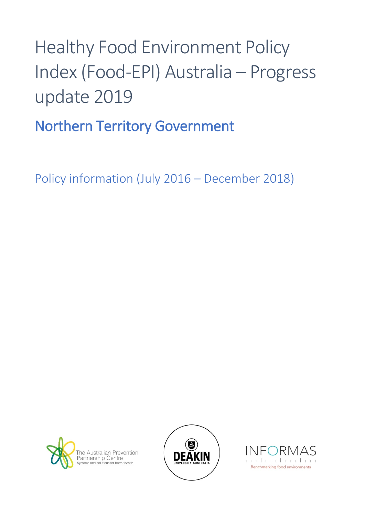## Healthy Food Environment Policy Index (Food-EPI) Australia – Progress update 2019

Northern Territory Government

Policy information (July 2016 – December 2018)





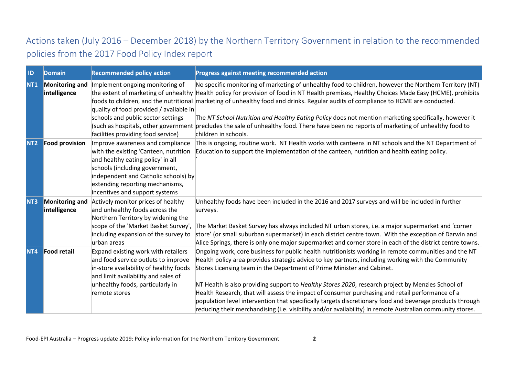## Actions taken (July 2016 – December 2018) by the Northern Territory Government in relation to the recommended policies from the 2017 Food Policy Index report

| <b>ID</b>       | <b>Domain</b>                         | <b>Recommended policy action</b>                                                                                                                                                                                                                              | Progress against meeting recommended action                                                                                                                                                                                                                                                                                                                                                                                                                                                                                                                                                                                                                                                                           |
|-----------------|---------------------------------------|---------------------------------------------------------------------------------------------------------------------------------------------------------------------------------------------------------------------------------------------------------------|-----------------------------------------------------------------------------------------------------------------------------------------------------------------------------------------------------------------------------------------------------------------------------------------------------------------------------------------------------------------------------------------------------------------------------------------------------------------------------------------------------------------------------------------------------------------------------------------------------------------------------------------------------------------------------------------------------------------------|
| <b>NT1</b>      | <b>Monitoring and</b><br>intelligence | Implement ongoing monitoring of<br>quality of food provided / available in<br>schools and public sector settings<br>facilities providing food service)                                                                                                        | No specific monitoring of marketing of unhealthy food to children, however the Northern Territory (NT)<br>the extent of marketing of unhealthy Health policy for provision of food in NT Health premises, Healthy Choices Made Easy (HCME), prohibits<br>foods to children, and the nutritional marketing of unhealthy food and drinks. Regular audits of compliance to HCME are conducted.<br>The NT School Nutrition and Healthy Eating Policy does not mention marketing specifically, however it<br>(such as hospitals, other government precludes the sale of unhealthy food. There have been no reports of marketing of unhealthy food to<br>children in schools.                                               |
| <b>NT2</b>      | <b>Food provision</b>                 | Improve awareness and compliance<br>with the existing 'Canteen, nutrition<br>and healthy eating policy' in all<br>schools (including government,<br>independent and Catholic schools) by<br>extending reporting mechanisms,<br>incentives and support systems | This is ongoing, routine work. NT Health works with canteens in NT schools and the NT Department of<br>Education to support the implementation of the canteen, nutrition and health eating policy.                                                                                                                                                                                                                                                                                                                                                                                                                                                                                                                    |
| NT <sub>3</sub> | <b>Monitoring and</b><br>intelligence | Actively monitor prices of healthy<br>and unhealthy foods across the<br>Northern Territory by widening the<br>scope of the 'Market Basket Survey',<br>including expansion of the survey to<br>urban areas                                                     | Unhealthy foods have been included in the 2016 and 2017 surveys and will be included in further<br>surveys.<br>The Market Basket Survey has always included NT urban stores, i.e. a major supermarket and 'corner<br>store' (or small suburban supermarket) in each district centre town. With the exception of Darwin and<br>Alice Springs, there is only one major supermarket and corner store in each of the district centre towns.                                                                                                                                                                                                                                                                               |
| NT <sub>4</sub> | <b>Food retail</b>                    | Expand existing work with retailers<br>and food service outlets to improve<br>in-store availability of healthy foods<br>and limit availability and sales of<br>unhealthy foods, particularly in<br>remote stores                                              | Ongoing work, core business for public health nutritionists working in remote communities and the NT<br>Health policy area provides strategic advice to key partners, including working with the Community<br>Stores Licensing team in the Department of Prime Minister and Cabinet.<br>NT Health is also providing support to Healthy Stores 2020, research project by Menzies School of<br>Health Research, that will assess the impact of consumer purchasing and retail performance of a<br>population level intervention that specifically targets discretionary food and beverage products through<br>reducing their merchandising (i.e. visibility and/or availability) in remote Australian community stores. |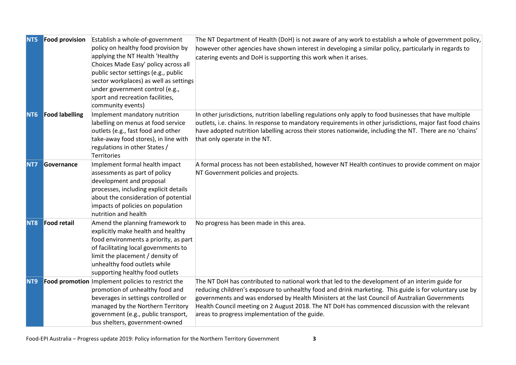| NT5             | <b>Food provision</b> | Establish a whole-of-government                                         | The NT Department of Health (DoH) is not aware of any work to establish a whole of government policy,      |
|-----------------|-----------------------|-------------------------------------------------------------------------|------------------------------------------------------------------------------------------------------------|
|                 |                       | policy on healthy food provision by                                     | however other agencies have shown interest in developing a similar policy, particularly in regards to      |
|                 |                       | applying the NT Health 'Healthy<br>Choices Made Easy' policy across all | catering events and DoH is supporting this work when it arises.                                            |
|                 |                       | public sector settings (e.g., public                                    |                                                                                                            |
|                 |                       | sector workplaces) as well as settings                                  |                                                                                                            |
|                 |                       | under government control (e.g.,                                         |                                                                                                            |
|                 |                       | sport and recreation facilities,                                        |                                                                                                            |
|                 |                       | community events)                                                       |                                                                                                            |
| NT <sub>6</sub> | <b>Food labelling</b> | Implement mandatory nutrition                                           | In other jurisdictions, nutrition labelling regulations only apply to food businesses that have multiple   |
|                 |                       | labelling on menus at food service                                      | outlets, i.e. chains. In response to mandatory requirements in other jurisdictions, major fast food chains |
|                 |                       | outlets (e.g., fast food and other                                      | have adopted nutrition labelling across their stores nationwide, including the NT. There are no 'chains'   |
|                 |                       | take-away food stores), in line with                                    | that only operate in the NT.                                                                               |
|                 |                       | regulations in other States /                                           |                                                                                                            |
|                 |                       | Territories                                                             |                                                                                                            |
| NT7             | Governance            | Implement formal health impact                                          | A formal process has not been established, however NT Health continues to provide comment on major         |
|                 |                       | assessments as part of policy<br>development and proposal               | NT Government policies and projects.                                                                       |
|                 |                       | processes, including explicit details                                   |                                                                                                            |
|                 |                       | about the consideration of potential                                    |                                                                                                            |
|                 |                       | impacts of policies on population                                       |                                                                                                            |
|                 |                       | nutrition and health                                                    |                                                                                                            |
| <b>NT8</b>      | <b>Food retail</b>    | Amend the planning framework to                                         | No progress has been made in this area.                                                                    |
|                 |                       | explicitly make health and healthy                                      |                                                                                                            |
|                 |                       | food environments a priority, as part                                   |                                                                                                            |
|                 |                       | of facilitating local governments to                                    |                                                                                                            |
|                 |                       | limit the placement / density of                                        |                                                                                                            |
|                 |                       | unhealthy food outlets while                                            |                                                                                                            |
|                 |                       | supporting healthy food outlets                                         |                                                                                                            |
| NT <sub>9</sub> |                       | Food promotion Implement policies to restrict the                       | The NT DoH has contributed to national work that led to the development of an interim guide for            |
|                 |                       | promotion of unhealthy food and                                         | reducing children's exposure to unhealthy food and drink marketing. This guide is for voluntary use by     |
|                 |                       | beverages in settings controlled or                                     | governments and was endorsed by Health Ministers at the last Council of Australian Governments             |
|                 |                       | managed by the Northern Territory                                       | Health Council meeting on 2 August 2018. The NT DoH has commenced discussion with the relevant             |
|                 |                       | government (e.g., public transport,                                     | areas to progress implementation of the guide.                                                             |
|                 |                       | bus shelters, government-owned                                          |                                                                                                            |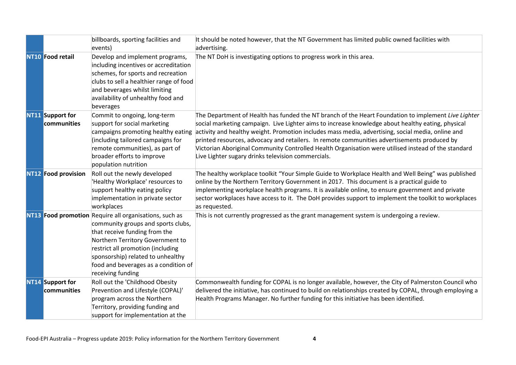|                                 | billboards, sporting facilities and                                                                                                                                                                                                                                                                      | It should be noted however, that the NT Government has limited public owned facilities with                                                                                                                                                                                                                                                                                                                                                                                                                                                                               |
|---------------------------------|----------------------------------------------------------------------------------------------------------------------------------------------------------------------------------------------------------------------------------------------------------------------------------------------------------|---------------------------------------------------------------------------------------------------------------------------------------------------------------------------------------------------------------------------------------------------------------------------------------------------------------------------------------------------------------------------------------------------------------------------------------------------------------------------------------------------------------------------------------------------------------------------|
|                                 | events)                                                                                                                                                                                                                                                                                                  | advertising.                                                                                                                                                                                                                                                                                                                                                                                                                                                                                                                                                              |
| NT10 Food retail                | Develop and implement programs,<br>including incentives or accreditation<br>schemes, for sports and recreation<br>clubs to sell a healthier range of food<br>and beverages whilst limiting<br>availability of unhealthy food and<br>beverages                                                            | The NT DoH is investigating options to progress work in this area.                                                                                                                                                                                                                                                                                                                                                                                                                                                                                                        |
| NT11 Support for<br>communities | Commit to ongoing, long-term<br>support for social marketing<br>campaigns promoting healthy eating<br>(including tailored campaigns for<br>remote communities), as part of<br>broader efforts to improve<br>population nutrition                                                                         | The Department of Health has funded the NT branch of the Heart Foundation to implement Live Lighter<br>social marketing campaign. Live Lighter aims to increase knowledge about healthy eating, physical<br>activity and healthy weight. Promotion includes mass media, advertising, social media, online and<br>printed resources, advocacy and retailers. In remote communities advertisements produced by<br>Victorian Aboriginal Community Controlled Health Organisation were utilised instead of the standard<br>Live Lighter sugary drinks television commercials. |
| NT12 Food provision             | Roll out the newly developed<br>'Healthy Workplace' resources to<br>support healthy eating policy<br>implementation in private sector<br>workplaces                                                                                                                                                      | The healthy workplace toolkit "Your Simple Guide to Workplace Health and Well Being" was published<br>online by the Northern Territory Government in 2017. This document is a practical guide to<br>implementing workplace health programs. It is available online, to ensure government and private<br>sector workplaces have access to it. The DoH provides support to implement the toolkit to workplaces<br>as requested.                                                                                                                                             |
|                                 | NT13 Food promotion Require all organisations, such as<br>community groups and sports clubs,<br>that receive funding from the<br>Northern Territory Government to<br>restrict all promotion (including<br>sponsorship) related to unhealthy<br>food and beverages as a condition of<br>receiving funding | This is not currently progressed as the grant management system is undergoing a review.                                                                                                                                                                                                                                                                                                                                                                                                                                                                                   |
| NT14 Support for<br>communities | Roll out the 'Childhood Obesity<br>Prevention and Lifestyle (COPAL)'<br>program across the Northern<br>Territory, providing funding and<br>support for implementation at the                                                                                                                             | Commonwealth funding for COPAL is no longer available, however, the City of Palmerston Council who<br>delivered the initiative, has continued to build on relationships created by COPAL, through employing a<br>Health Programs Manager. No further funding for this initiative has been identified.                                                                                                                                                                                                                                                                     |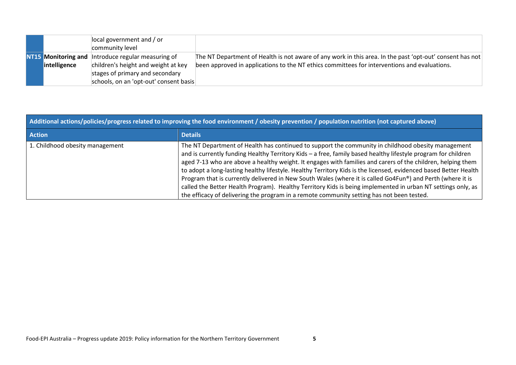|              | local government and / or                          |                                                                                                          |
|--------------|----------------------------------------------------|----------------------------------------------------------------------------------------------------------|
|              | community level                                    |                                                                                                          |
|              | NT15 Monitoring and Introduce regular measuring of | The NT Department of Health is not aware of any work in this area. In the past 'opt-out' consent has not |
| intelligence | children's height and weight at key                | been approved in applications to the NT ethics committees for interventions and evaluations.             |
|              | stages of primary and secondary                    |                                                                                                          |
|              | schools, on an 'opt-out' consent basis             |                                                                                                          |

**Additional actions/policies/progress related to improving the food environment / obesity prevention / population nutrition (not captured above)**

| <b>Action</b>                   | <b>Details</b>                                                                                                   |
|---------------------------------|------------------------------------------------------------------------------------------------------------------|
| 1. Childhood obesity management | The NT Department of Health has continued to support the community in childhood obesity management               |
|                                 | and is currently funding Healthy Territory Kids - a free, family based healthy lifestyle program for children    |
|                                 | aged 7-13 who are above a healthy weight. It engages with families and carers of the children, helping them      |
|                                 | to adopt a long-lasting healthy lifestyle. Healthy Territory Kids is the licensed, evidenced based Better Health |
|                                 | Program that is currently delivered in New South Wales (where it is called Go4Fun®) and Perth (where it is       |
|                                 | called the Better Health Program). Healthy Territory Kids is being implemented in urban NT settings only, as     |
|                                 | the efficacy of delivering the program in a remote community setting has not been tested.                        |